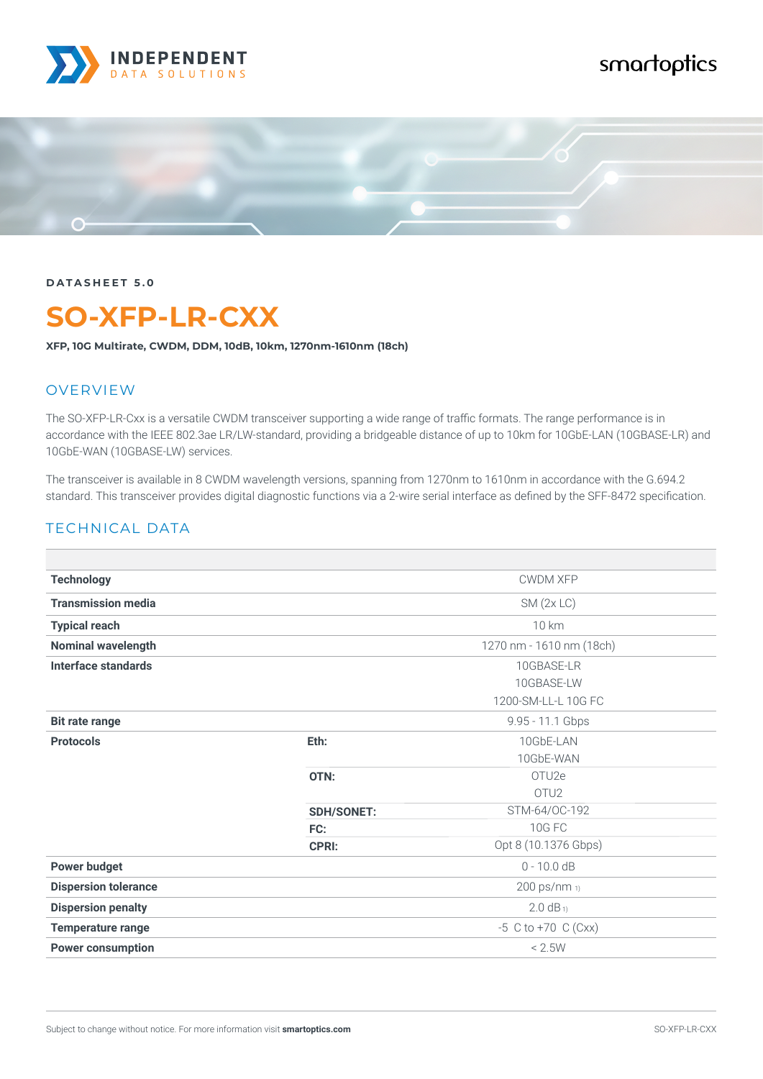

# smartoptics



**DATASHEET 5.0**

# **SO-XFP-LR-CXX**

**XFP, 10G Multirate, CWDM, DDM, 10dB, 10km, 1270nm-1610nm (18ch)**

#### **OVERVIEW**

The SO-XFP-LR-Cxx is a versatile CWDM transceiver supporting a wide range of traffic formats. The range performance is in accordance with the IEEE 802.3ae LR/LW-standard, providing a bridgeable distance of up to 10km for 10GbE-LAN (10GBASE-LR) and 10GbE-WAN (10GBASE-LW) services.

The transceiver is available in 8 CWDM wavelength versions, spanning from 1270nm to 1610nm in accordance with the G.694.2 standard. This transceiver provides digital diagnostic functions via a 2-wire serial interface as defined by the SFF-8472 specification.

#### TECHNICAL DATA

| <b>Technology</b>           | <b>CWDM XFP</b>   |                          |  |
|-----------------------------|-------------------|--------------------------|--|
| <b>Transmission media</b>   |                   | $SM$ (2x LC)             |  |
| <b>Typical reach</b>        | 10 km             |                          |  |
| <b>Nominal wavelength</b>   |                   | 1270 nm - 1610 nm (18ch) |  |
| Interface standards         |                   | 10GBASE-LR               |  |
|                             |                   | 10GBASE-LW               |  |
|                             |                   | 1200-SM-LL-L 10G FC      |  |
| <b>Bit rate range</b>       |                   | 9.95 - 11.1 Gbps         |  |
| <b>Protocols</b>            | Eth:              | 10GbE-LAN                |  |
|                             |                   | 10GbE-WAN                |  |
|                             | OTN:              | OTU <sub>2e</sub>        |  |
|                             |                   | OTU <sub>2</sub>         |  |
|                             | <b>SDH/SONET:</b> | STM-64/OC-192            |  |
|                             | FC:               | <b>10G FC</b>            |  |
|                             | <b>CPRI:</b>      | Opt 8 (10.1376 Gbps)     |  |
| <b>Power budget</b>         |                   | $0 - 10.0 dB$            |  |
| <b>Dispersion tolerance</b> |                   | 200 ps/nm 1)             |  |
| <b>Dispersion penalty</b>   |                   | $2.0 dB_1$               |  |
| <b>Temperature range</b>    |                   | $-5$ C to $+70$ C (Cxx)  |  |
| <b>Power consumption</b>    |                   | < 2.5W                   |  |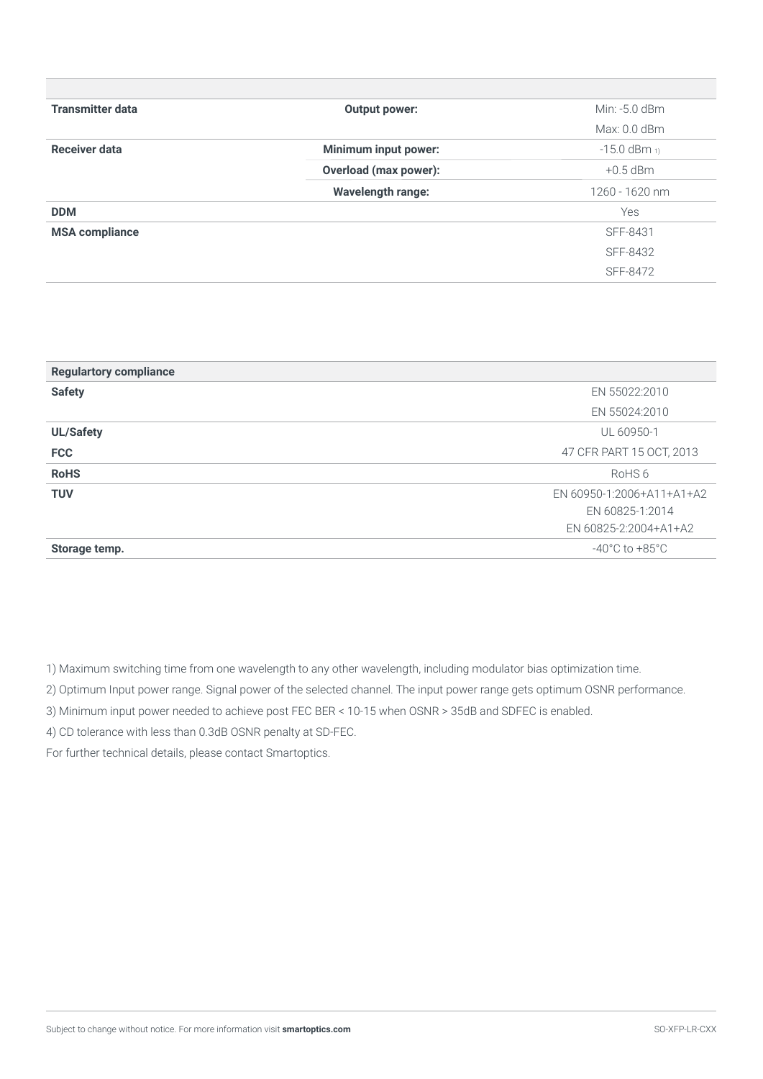| <b>Transmitter data</b> | Output power:               | Min: -5.0 dBm       |
|-------------------------|-----------------------------|---------------------|
|                         |                             | Max: $0.0$ dBm      |
| Receiver data           | <b>Minimum input power:</b> | $-15.0$ dBm $_{11}$ |
|                         | Overload (max power):       | $+0.5$ dBm          |
|                         | <b>Wavelength range:</b>    | $1260 - 1620$ nm    |
| <b>DDM</b>              |                             | Yes                 |
| <b>MSA compliance</b>   |                             | SFF-8431            |
|                         |                             | SFF-8432            |
|                         |                             | SFF-8472            |

| <b>Regulartory compliance</b> |                           |
|-------------------------------|---------------------------|
| <b>Safety</b>                 | EN 55022:2010             |
|                               | EN 55024:2010             |
| <b>UL/Safety</b>              | UL 60950-1                |
| <b>FCC</b>                    | 47 CFR PART 15 OCT, 2013  |
| <b>RoHS</b>                   | RoHS <sub>6</sub>         |
| <b>TUV</b>                    | EN 60950-1:2006+A11+A1+A2 |
|                               | EN 60825-1:2014           |
|                               | EN 60825-2:2004+A1+A2     |
| Storage temp.                 | -40°C to +85°C            |

1) Maximum switching time from one wavelength to any other wavelength, including modulator bias optimization time.

2) Optimum Input power range. Signal power of the selected channel. The input power range gets optimum OSNR performance.

3) Minimum input power needed to achieve post FEC BER < 10-15 when OSNR > 35dB and SDFEC is enabled.

4) CD tolerance with less than 0.3dB OSNR penalty at SD-FEC.

For further technical details, please contact Smartoptics.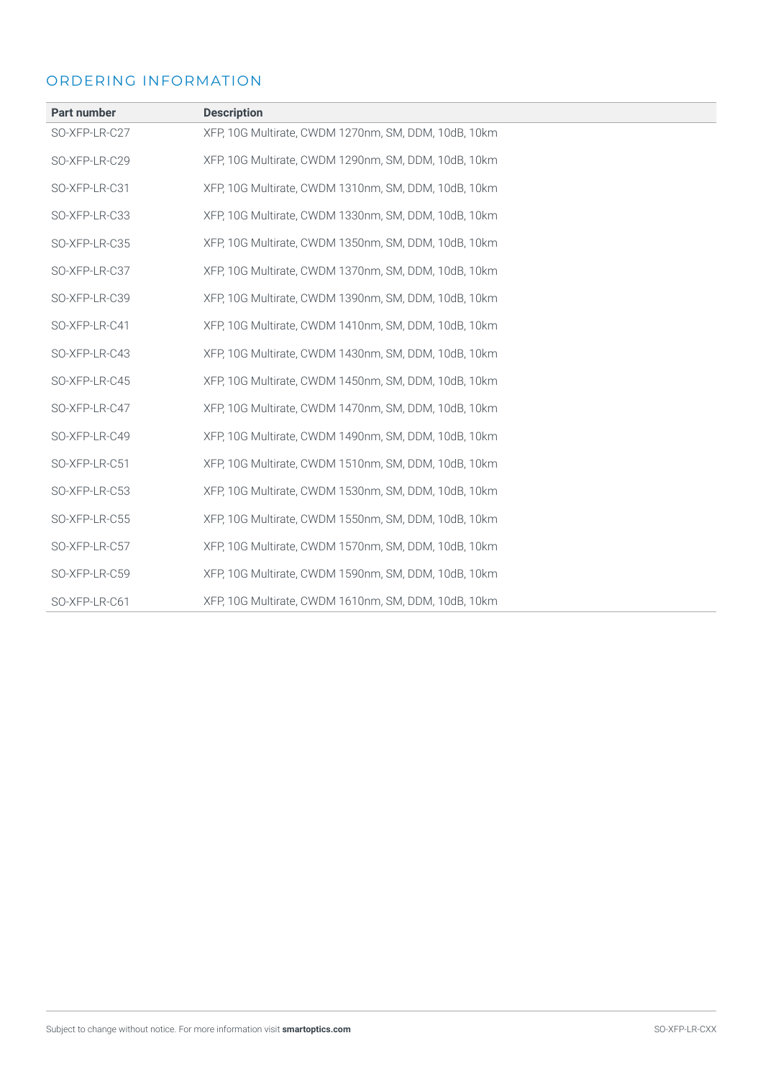### ORDERING INFORMATION

| <b>Part number</b> | <b>Description</b>                                   |
|--------------------|------------------------------------------------------|
| SO-XFP-LR-C27      | XFP, 10G Multirate, CWDM 1270nm, SM, DDM, 10dB, 10km |
| SO-XFP-LR-C29      | XFP, 10G Multirate, CWDM 1290nm, SM, DDM, 10dB, 10km |
| SO-XFP-LR-C31      | XFP, 10G Multirate, CWDM 1310nm, SM, DDM, 10dB, 10km |
| SO-XFP-LR-C33      | XFP, 10G Multirate, CWDM 1330nm, SM, DDM, 10dB, 10km |
| SO-XFP-LR-C35      | XFP, 10G Multirate, CWDM 1350nm, SM, DDM, 10dB, 10km |
| SO-XFP-LR-C37      | XFP, 10G Multirate, CWDM 1370nm, SM, DDM, 10dB, 10km |
| SO-XFP-LR-C39      | XFP, 10G Multirate, CWDM 1390nm, SM, DDM, 10dB, 10km |
| SO-XFP-LR-C41      | XFP, 10G Multirate, CWDM 1410nm, SM, DDM, 10dB, 10km |
| SO-XFP-LR-C43      | XFP, 10G Multirate, CWDM 1430nm, SM, DDM, 10dB, 10km |
| SO-XFP-LR-C45      | XFP, 10G Multirate, CWDM 1450nm, SM, DDM, 10dB, 10km |
| SO-XFP-LR-C47      | XFP, 10G Multirate, CWDM 1470nm, SM, DDM, 10dB, 10km |
| SO-XFP-LR-C49      | XFP, 10G Multirate, CWDM 1490nm, SM, DDM, 10dB, 10km |
| SO-XFP-LR-C51      | XFP, 10G Multirate, CWDM 1510nm, SM, DDM, 10dB, 10km |
| SO-XFP-LR-C53      | XFP, 10G Multirate, CWDM 1530nm, SM, DDM, 10dB, 10km |
| SO-XFP-LR-C55      | XFP, 10G Multirate, CWDM 1550nm, SM, DDM, 10dB, 10km |
| SO-XFP-LR-C57      | XFP, 10G Multirate, CWDM 1570nm, SM, DDM, 10dB, 10km |
| SO-XFP-LR-C59      | XFP, 10G Multirate, CWDM 1590nm, SM, DDM, 10dB, 10km |
| SO-XFP-LR-C61      | XFP, 10G Multirate, CWDM 1610nm, SM, DDM, 10dB, 10km |
|                    |                                                      |